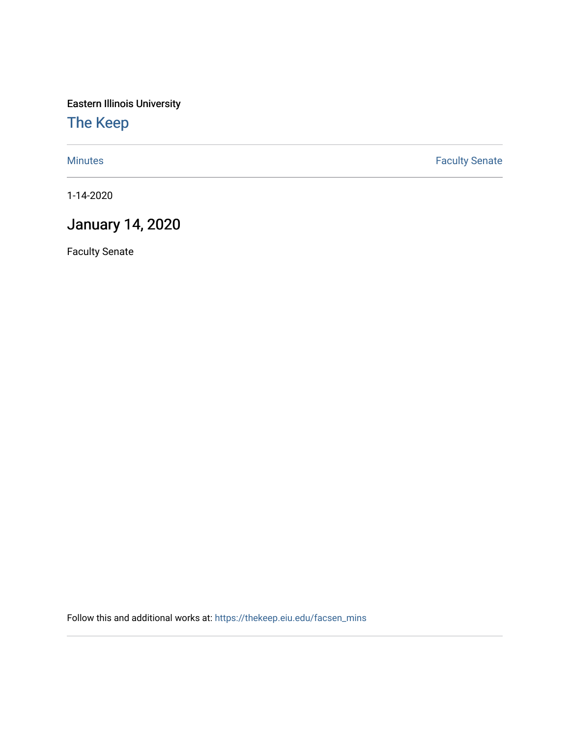Eastern Illinois University

[The Keep](https://thekeep.eiu.edu/) 

[Minutes](https://thekeep.eiu.edu/facsen_mins) **Faculty Senate** 

1-14-2020

## January 14, 2020

Faculty Senate

Follow this and additional works at: [https://thekeep.eiu.edu/facsen\\_mins](https://thekeep.eiu.edu/facsen_mins?utm_source=thekeep.eiu.edu%2Ffacsen_mins%2F1131&utm_medium=PDF&utm_campaign=PDFCoverPages)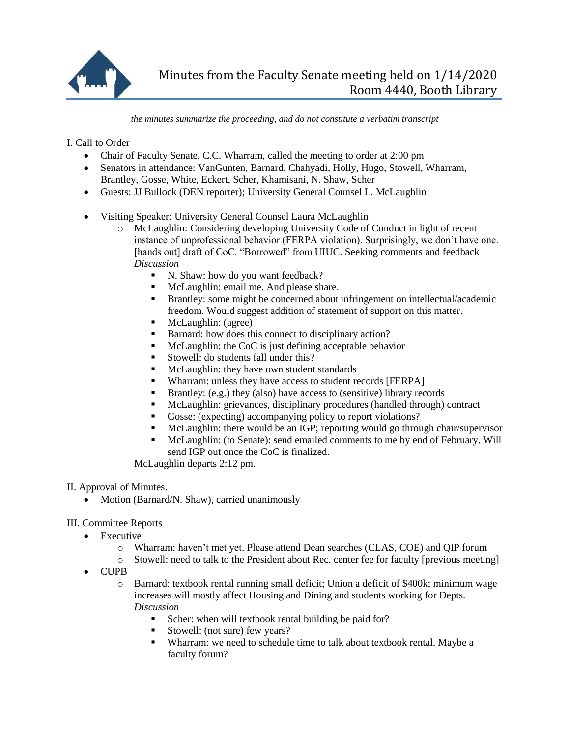

*the minutes summarize the proceeding, and do not constitute a verbatim transcript*

I. Call to Order

- Chair of Faculty Senate, C.C. Wharram, called the meeting to order at 2:00 pm
- Senators in attendance: VanGunten, Barnard, Chahyadi, Holly, Hugo, Stowell, Wharram, Brantley, Gosse, White, Eckert, Scher, Khamisani, N. Shaw, Scher
- Guests: JJ Bullock (DEN reporter); University General Counsel L. McLaughlin
- Visiting Speaker: University General Counsel Laura McLaughlin
	- o McLaughlin: Considering developing University Code of Conduct in light of recent instance of unprofessional behavior (FERPA violation). Surprisingly, we don't have one. [hands out] draft of CoC. "Borrowed" from UIUC. Seeking comments and feedback *Discussion*
		- N. Shaw: how do you want feedback?
		- McLaughlin: email me. And please share.
		- Brantley: some might be concerned about infringement on intellectual/academic freedom. Would suggest addition of statement of support on this matter.
		- McLaughlin: (agree)
		- Barnard: how does this connect to disciplinary action?
		- McLaughlin: the CoC is just defining acceptable behavior
		- Stowell: do students fall under this?
		- McLaughlin: they have own student standards
		- Wharram: unless they have access to student records [FERPA]
		- **Brantley:** (e.g.) they (also) have access to (sensitive) library records
		- McLaughlin: grievances, disciplinary procedures (handled through) contract
		- Gosse: (expecting) accompanying policy to report violations?
		- McLaughlin: there would be an IGP; reporting would go through chair/supervisor
		- McLaughlin: (to Senate): send emailed comments to me by end of February. Will send IGP out once the CoC is finalized.

McLaughlin departs 2:12 pm.

II. Approval of Minutes.

• Motion (Barnard/N. Shaw), carried unanimously

III. Committee Reports

- Executive
	- o Wharram: haven't met yet. Please attend Dean searches (CLAS, COE) and QIP forum
	- o Stowell: need to talk to the President about Rec. center fee for faculty [previous meeting]
- CUPB
	- o Barnard: textbook rental running small deficit; Union a deficit of \$400k; minimum wage increases will mostly affect Housing and Dining and students working for Depts. *Discussion*
		- Scher: when will textbook rental building be paid for?
		- Stowell: (not sure) few years?
		- Wharram: we need to schedule time to talk about textbook rental. Maybe a faculty forum?